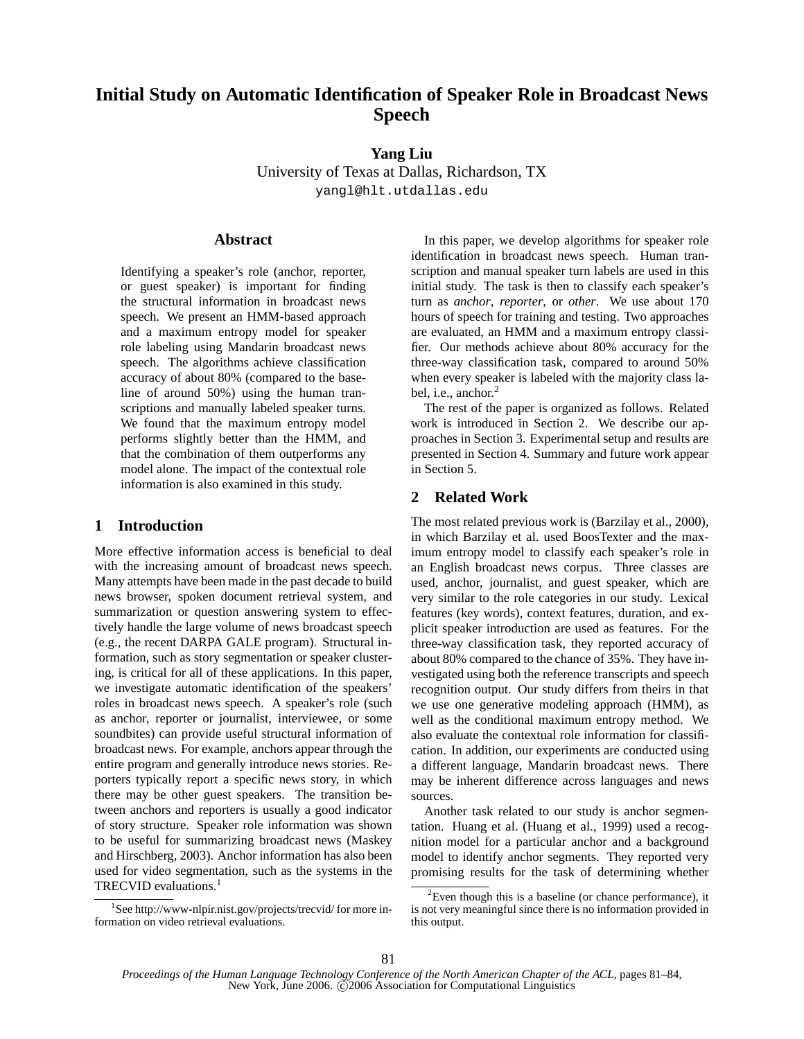# **Initial Study on Automatic Identification of Speaker Role in Broadcast News Speech**

# **Yang Liu**

University of Texas at Dallas, Richardson, TX yangl@hlt.utdallas.edu

# **Abstract**

Identifying a speaker's role (anchor, reporter, or guest speaker) is important for finding the structural information in broadcast news speech. We present an HMM-based approach and a maximum entropy model for speaker role labeling using Mandarin broadcast news speech. The algorithms achieve classification accuracy of about 80% (compared to the baseline of around 50%) using the human transcriptions and manually labeled speaker turns. We found that the maximum entropy model performs slightly better than the HMM, and that the combination of them outperforms any model alone. The impact of the contextual role information is also examined in this study.

# **1 Introduction**

More effective information access is beneficial to deal with the increasing amount of broadcast news speech. Many attempts have been made in the past decade to build news browser, spoken document retrieval system, and summarization or question answering system to effectively handle the large volume of news broadcast speech (e.g., the recent DARPA GALE program). Structural information, such as story segmentation or speaker clustering, is critical for all of these applications. In this paper, we investigate automatic identification of the speakers' roles in broadcast news speech. A speaker's role (such as anchor, reporter or journalist, interviewee, or some soundbites) can provide useful structural information of broadcast news. For example, anchors appear through the entire program and generally introduce news stories. Reporters typically report a specific news story, in which there may be other guest speakers. The transition between anchors and reporters is usually a good indicator of story structure. Speaker role information was shown to be useful for summarizing broadcast news (Maskey and Hirschberg, 2003). Anchor information has also been used for video segmentation, such as the systems in the TRECVID evaluations.<sup>1</sup>

In this paper, we develop algorithms for speaker role identification in broadcast news speech. Human transcription and manual speaker turn labels are used in this initial study. The task is then to classify each speaker's turn as *anchor*, *reporter*, or *other*. We use about 170 hours of speech for training and testing. Two approaches are evaluated, an HMM and a maximum entropy classifier. Our methods achieve about 80% accuracy for the three-way classification task, compared to around 50% when every speaker is labeled with the majority class label, i.e., anchor.<sup>2</sup>

The rest of the paper is organized as follows. Related work is introduced in Section 2. We describe our approaches in Section 3. Experimental setup and results are presented in Section 4. Summary and future work appear in Section 5.

# **2 Related Work**

The most related previous work is (Barzilay et al., 2000), in which Barzilay et al. used BoosTexter and the maximum entropy model to classify each speaker's role in an English broadcast news corpus. Three classes are used, anchor, journalist, and guest speaker, which are very similar to the role categories in our study. Lexical features (key words), context features, duration, and explicit speaker introduction are used as features. For the three-way classification task, they reported accuracy of about 80% compared to the chance of 35%. They have investigated using both the reference transcripts and speech recognition output. Our study differs from theirs in that we use one generative modeling approach (HMM), as well as the conditional maximum entropy method. We also evaluate the contextual role information for classification. In addition, our experiments are conducted using a different language, Mandarin broadcast news. There may be inherent difference across languages and news sources.

Another task related to our study is anchor segmentation. Huang et al. (Huang et al., 1999) used a recognition model for a particular anchor and a background model to identify anchor segments. They reported very promising results for the task of determining whether

<sup>1</sup> See http://www-nlpir.nist.gov/projects/trecvid/ for more information on video retrieval evaluations.

 ${}^{2}$ Even though this is a baseline (or chance performance), it is not very meaningful since there is no information provided in this output.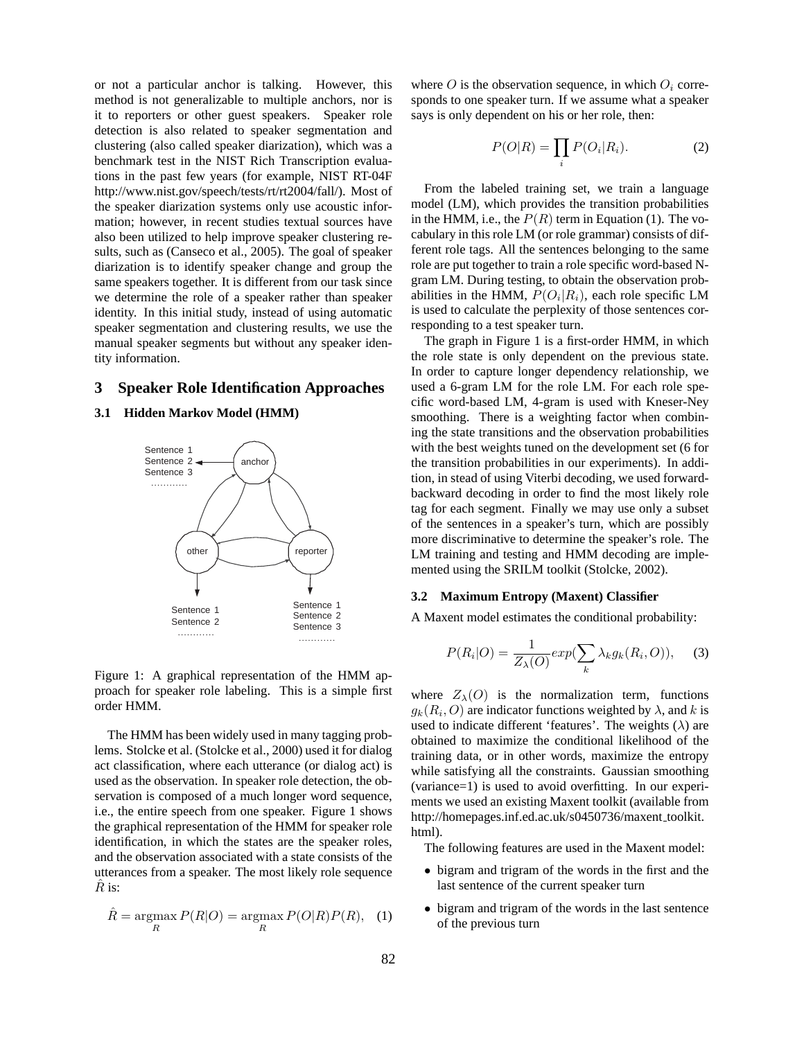or not a particular anchor is talking. However, this method is not generalizable to multiple anchors, nor is it to reporters or other guest speakers. Speaker role detection is also related to speaker segmentation and clustering (also called speaker diarization), which was a benchmark test in the NIST Rich Transcription evaluations in the past few years (for example, NIST RT-04F http://www.nist.gov/speech/tests/rt/rt2004/fall/). Most of the speaker diarization systems only use acoustic information; however, in recent studies textual sources have also been utilized to help improve speaker clustering results, such as (Canseco et al., 2005). The goal of speaker diarization is to identify speaker change and group the same speakers together. It is different from our task since we determine the role of a speaker rather than speaker identity. In this initial study, instead of using automatic speaker segmentation and clustering results, we use the manual speaker segments but without any speaker identity information.

#### **3 Speaker Role Identification Approaches**

#### **3.1 Hidden Markov Model (HMM)**



Figure 1: A graphical representation of the HMM approach for speaker role labeling. This is a simple first order HMM.

The HMM has been widely used in many tagging problems. Stolcke et al. (Stolcke et al., 2000) used it for dialog act classification, where each utterance (or dialog act) is used as the observation. In speaker role detection, the observation is composed of a much longer word sequence, i.e., the entire speech from one speaker. Figure 1 shows the graphical representation of the HMM for speaker role identification, in which the states are the speaker roles, and the observation associated with a state consists of the utterances from a speaker. The most likely role sequence  $\hat{R}$  is:

$$
\hat{R} = \underset{R}{\text{argmax}} P(R|O) = \underset{R}{\text{argmax}} P(O|R)P(R), \quad (1)
$$

where O is the observation sequence, in which  $O_i$  corresponds to one speaker turn. If we assume what a speaker says is only dependent on his or her role, then:

$$
P(O|R) = \prod_{i} P(O_i|R_i).
$$
 (2)

From the labeled training set, we train a language model (LM), which provides the transition probabilities in the HMM, i.e., the  $P(R)$  term in Equation (1). The vocabulary in this role LM (or role grammar) consists of different role tags. All the sentences belonging to the same role are put together to train a role specific word-based Ngram LM. During testing, to obtain the observation probabilities in the HMM,  $P(O_i|R_i)$ , each role specific LM is used to calculate the perplexity of those sentences corresponding to a test speaker turn.

The graph in Figure 1 is a first-order HMM, in which the role state is only dependent on the previous state. In order to capture longer dependency relationship, we used a 6-gram LM for the role LM. For each role specific word-based LM, 4-gram is used with Kneser-Ney smoothing. There is a weighting factor when combining the state transitions and the observation probabilities with the best weights tuned on the development set (6 for the transition probabilities in our experiments). In addition, in stead of using Viterbi decoding, we used forwardbackward decoding in order to find the most likely role tag for each segment. Finally we may use only a subset of the sentences in a speaker's turn, which are possibly more discriminative to determine the speaker's role. The LM training and testing and HMM decoding are implemented using the SRILM toolkit (Stolcke, 2002).

#### **3.2 Maximum Entropy (Maxent) Classifier**

A Maxent model estimates the conditional probability:

$$
P(R_i|O) = \frac{1}{Z_{\lambda}(O)} exp(\sum_k \lambda_k g_k(R_i, O)), \quad (3)
$$

where  $Z_{\lambda}(O)$  is the normalization term, functions  $g_k(R_i, O)$  are indicator functions weighted by  $\lambda$ , and k is used to indicate different 'features'. The weights  $(\lambda)$  are obtained to maximize the conditional likelihood of the training data, or in other words, maximize the entropy while satisfying all the constraints. Gaussian smoothing (variance=1) is used to avoid overfitting. In our experiments we used an existing Maxent toolkit (available from http://homepages.inf.ed.ac.uk/s0450736/maxent\_toolkit. html).

The following features are used in the Maxent model:

- bigram and trigram of the words in the first and the last sentence of the current speaker turn
- bigram and trigram of the words in the last sentence of the previous turn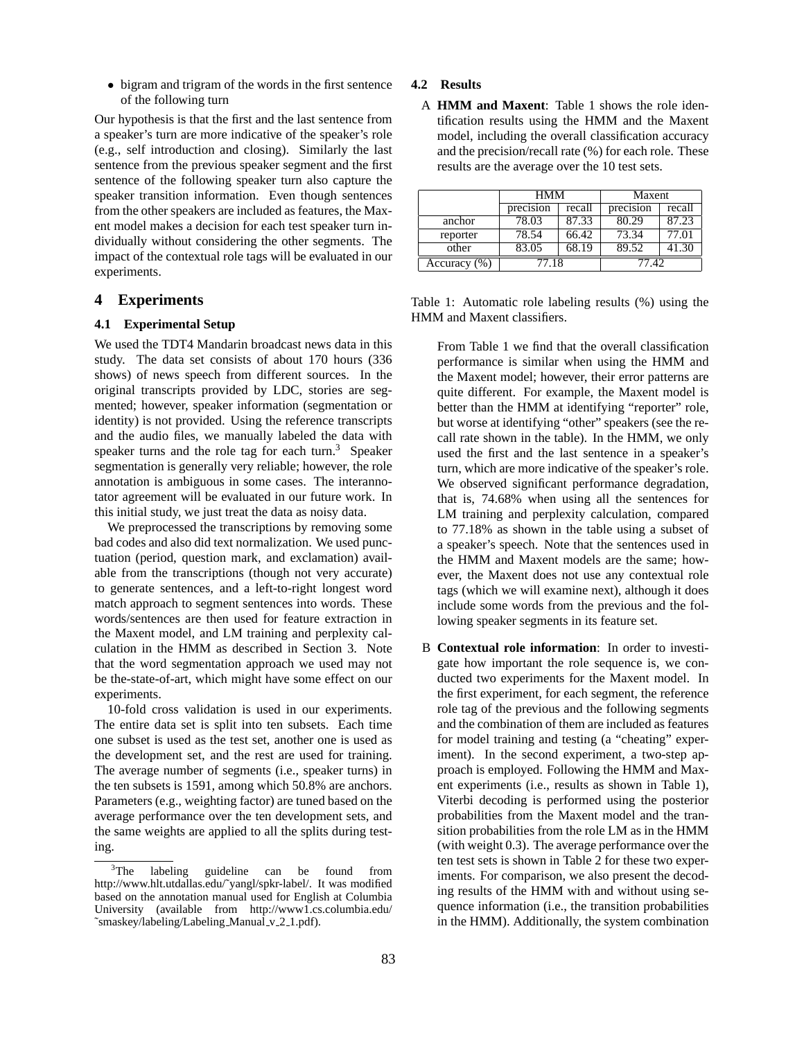• bigram and trigram of the words in the first sentence of the following turn

Our hypothesis is that the first and the last sentence from a speaker's turn are more indicative of the speaker's role (e.g., self introduction and closing). Similarly the last sentence from the previous speaker segment and the first sentence of the following speaker turn also capture the speaker transition information. Even though sentences from the other speakers are included as features, the Maxent model makes a decision for each test speaker turn individually without considering the other segments. The impact of the contextual role tags will be evaluated in our experiments.

# **4 Experiments**

# **4.1 Experimental Setup**

We used the TDT4 Mandarin broadcast news data in this study. The data set consists of about 170 hours (336 shows) of news speech from different sources. In the original transcripts provided by LDC, stories are segmented; however, speaker information (segmentation or identity) is not provided. Using the reference transcripts and the audio files, we manually labeled the data with speaker turns and the role tag for each turn. $3$  Speaker segmentation is generally very reliable; however, the role annotation is ambiguous in some cases. The interannotator agreement will be evaluated in our future work. In this initial study, we just treat the data as noisy data.

We preprocessed the transcriptions by removing some bad codes and also did text normalization. We used punctuation (period, question mark, and exclamation) available from the transcriptions (though not very accurate) to generate sentences, and a left-to-right longest word match approach to segment sentences into words. These words/sentences are then used for feature extraction in the Maxent model, and LM training and perplexity calculation in the HMM as described in Section 3. Note that the word segmentation approach we used may not be the-state-of-art, which might have some effect on our experiments.

10-fold cross validation is used in our experiments. The entire data set is split into ten subsets. Each time one subset is used as the test set, another one is used as the development set, and the rest are used for training. The average number of segments (i.e., speaker turns) in the ten subsets is 1591, among which 50.8% are anchors. Parameters (e.g., weighting factor) are tuned based on the average performance over the ten development sets, and the same weights are applied to all the splits during testing.

#### **4.2 Results**

A **HMM and Maxent**: Table 1 shows the role identification results using the HMM and the Maxent model, including the overall classification accuracy and the precision/recall rate (%) for each role. These results are the average over the 10 test sets.

|              | <b>HMM</b> |                    | Maxent    |        |
|--------------|------------|--------------------|-----------|--------|
|              | precision  | recall             | precision | recall |
| anchor       | 78.03      | 87.33              | 80.29     | 87.23  |
| reporter     | 78.54      | $66.\overline{42}$ | 73.34     | 77.01  |
| other        | 83.05      | 68.19              | 89.52     | 41.30  |
| Accuracy (%) | 77.18      |                    | 77.42     |        |

Table 1: Automatic role labeling results (%) using the HMM and Maxent classifiers.

From Table 1 we find that the overall classification performance is similar when using the HMM and the Maxent model; however, their error patterns are quite different. For example, the Maxent model is better than the HMM at identifying "reporter" role, but worse at identifying "other" speakers (see the recall rate shown in the table). In the HMM, we only used the first and the last sentence in a speaker's turn, which are more indicative of the speaker's role. We observed significant performance degradation, that is, 74.68% when using all the sentences for LM training and perplexity calculation, compared to 77.18% as shown in the table using a subset of a speaker's speech. Note that the sentences used in the HMM and Maxent models are the same; however, the Maxent does not use any contextual role tags (which we will examine next), although it does include some words from the previous and the following speaker segments in its feature set.

B **Contextual role information**: In order to investigate how important the role sequence is, we conducted two experiments for the Maxent model. In the first experiment, for each segment, the reference role tag of the previous and the following segments and the combination of them are included as features for model training and testing (a "cheating" experiment). In the second experiment, a two-step approach is employed. Following the HMM and Maxent experiments (i.e., results as shown in Table 1), Viterbi decoding is performed using the posterior probabilities from the Maxent model and the transition probabilities from the role LM as in the HMM (with weight 0.3). The average performance over the ten test sets is shown in Table 2 for these two experiments. For comparison, we also present the decoding results of the HMM with and without using sequence information (i.e., the transition probabilities in the HMM). Additionally, the system combination

<sup>&</sup>lt;sup>3</sup>The labeling guideline can be found from http://www.hlt.utdallas.edu/˜yangl/spkr-label/. It was modified based on the annotation manual used for English at Columbia University (available from http://www1.cs.columbia.edu/ ~smaskey/labeling/Labeling\_Manual\_v\_2\_1.pdf).